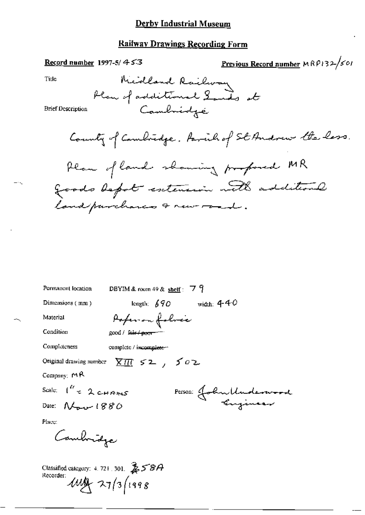#### **Derby Industrial Museum**

### **Railway Drawings Recording Form**

#### Record number 1997-5/ $453$

Previous Record number 
$$
MRP132\frac{1}{501}
$$

Title

 $-\infty$ 

**Brief Description** 

County of Cambridge. Parcil of St Andrew the lass.

| Permanent location                                        | DBYIM & room 49 & shelf: $79$  |
|-----------------------------------------------------------|--------------------------------|
| Dimensions (mm)                                           | length; $690$ width; $440$     |
| Material                                                  | Pofer on folice                |
| Condition                                                 | good / f <del>air / poor</del> |
| Completeness                                              | complete / incomplete ~        |
| Original drawing number                                   | $\times \pi$ $502$             |
| Company: $M$ R                                            |                                |
| Scale: $\int_{0}^{R} z 2 \text{ cm}$                      | Person: John Underwood         |
| Date: $N_{\text{max}}$ 1880                               |                                |
| Place:                                                    |                                |
| Combridge                                                 |                                |
| Classified category: $4.721.301.$ $\&$ $58A$<br>Recorder: | $444 - 27/3$ (1998)            |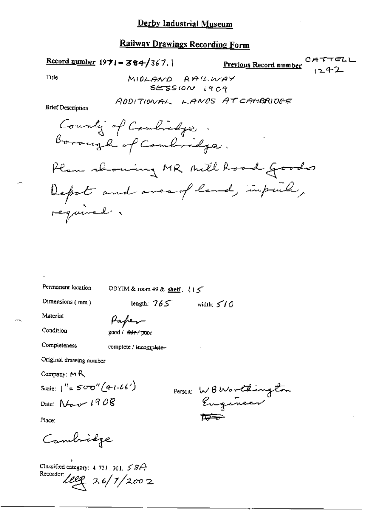### **Railway Drawings Recording Form**

**Previous Record number** CAT. Record number  $1971 - 384/367$ , Tide MIOLAND AALLWAY SESSION 1909 ADDITIONAL LANDS AT CAMBRIDGE **Brief Description** County of Combichge Borough of Combridge. Plan showing MR Mill Road Goods Depot and area of land, impuls, required.

Permanent location

DBYIM & room 49 & shelf: {15

Dimensions  $(mm)$ 

length:  $765$  width:  $510$ 

Material

Condition

Paper good / fair / poor

Completeness

complete / incomplete-

Original drawing number

Company:  $M$  $R$ 

Scale:  $1'' = 500''(4.1.66')$ 

Date:  $N_{\text{max}}$  1908

Person WBWorldington  $\overline{D}$ 

Place:

Cambridge

Classified category: 4, 721, 301,  $58A$ Recorder  $\text{tree}$  2.6/1/2002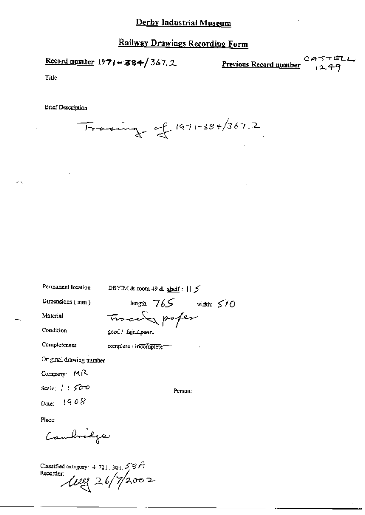# Railway Drawings Recording Form

Record number  $1971 - 384/367.2$ 

<u>Previous Record number</u>

 $CATTELL$ <br> $1249$ 

Title

жX,

**Brief Description** 

 $Tracting$  of 1971-384/367.2

| Permanent location      | DBYIM & room 49 & shelf: $   \le$ |  |  |
|-------------------------|-----------------------------------|--|--|
| Dimensions $(mn)$       | length: $765$ width: $570$        |  |  |
| Material                | Tracing paper                     |  |  |
| Condition               | good / fair / poor.               |  |  |
| Completeness            | complete / incomplete             |  |  |
| Original drawing number |                                   |  |  |
| Company: MR             |                                   |  |  |
| Scale: $\pm$ 500        | Person:                           |  |  |
| Date: 1908              |                                   |  |  |
| Place:                  |                                   |  |  |
| Cambridge               |                                   |  |  |

Classified category: 4.721.301.58A<br>Recorder:<br> $\mu$ ee 26/7/2002